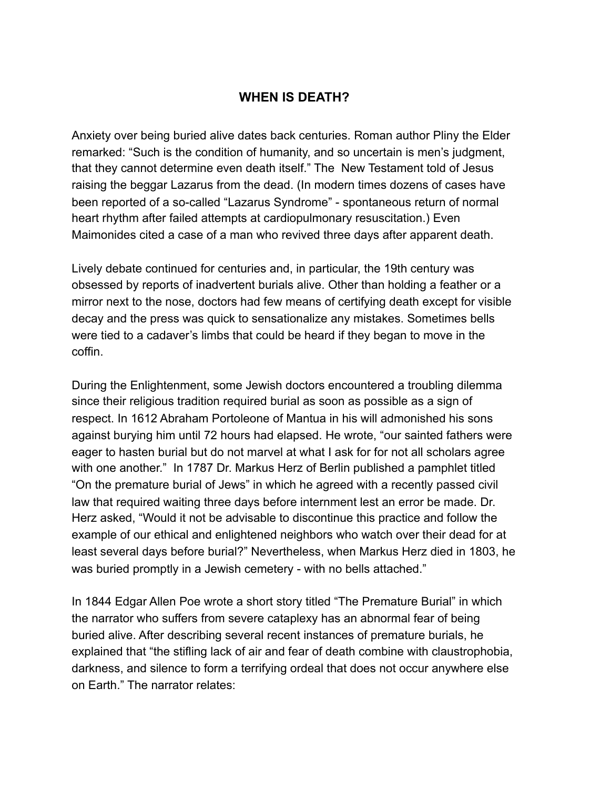# **WHEN IS DEATH?**

Anxiety over being buried alive dates back centuries. Roman author Pliny the Elder remarked: "Such is the condition of humanity, and so uncertain is men's judgment, that they cannot determine even death itself." The New Testament told of Jesus raising the beggar Lazarus from the dead. (In modern times dozens of cases have been reported of a so-called "Lazarus Syndrome" - spontaneous return of normal heart rhythm after failed attempts at cardiopulmonary resuscitation.) Even Maimonides cited a case of a man who revived three days after apparent death.

Lively debate continued for centuries and, in particular, the 19th century was obsessed by reports of inadvertent burials alive. Other than holding a feather or a mirror next to the nose, doctors had few means of certifying death except for visible decay and the press was quick to sensationalize any mistakes. Sometimes bells were tied to a cadaver's limbs that could be heard if they began to move in the coffin.

During the Enlightenment, some Jewish doctors encountered a troubling dilemma since their religious tradition required burial as soon as possible as a sign of respect. In 1612 Abraham Portoleone of Mantua in his will admonished his sons against burying him until 72 hours had elapsed. He wrote, "our sainted fathers were eager to hasten burial but do not marvel at what I ask for for not all scholars agree with one another." In 1787 Dr. Markus Herz of Berlin published a pamphlet titled "On the premature burial of Jews" in which he agreed with a recently passed civil law that required waiting three days before internment lest an error be made. Dr. Herz asked, "Would it not be advisable to discontinue this practice and follow the example of our ethical and enlightened neighbors who watch over their dead for at least several days before burial?" Nevertheless, when Markus Herz died in 1803, he was buried promptly in a Jewish cemetery - with no bells attached."

In 1844 Edgar Allen Poe wrote a short story titled "The Premature Burial" in which the narrator who suffers from severe cataplexy has an abnormal fear of being buried alive. After describing several recent instances of premature burials, he explained that "the stifling lack of air and fear of death combine with claustrophobia, darkness, and silence to form a terrifying ordeal that does not occur anywhere else on Earth." The narrator relates: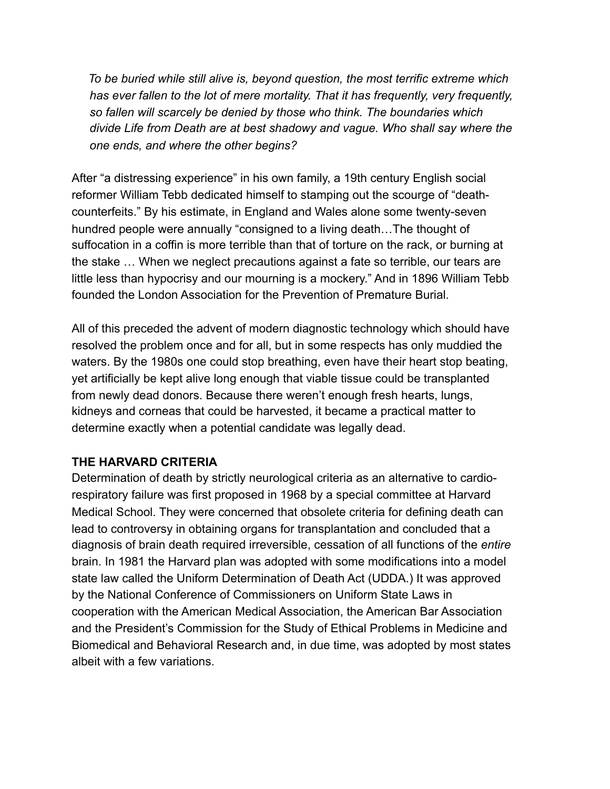*To be buried while still alive is, beyond question, the most terrific extreme which has ever fallen to the lot of mere mortality. That it has frequently, very frequently, so fallen will scarcely be denied by those who think. The boundaries which divide Life from Death are at best shadowy and vague. Who shall say where the one ends, and where the other begins?* 

After "a distressing experience" in his own family, a 19th century English social reformer William Tebb dedicated himself to stamping out the scourge of "deathcounterfeits." By his estimate, in England and Wales alone some twenty-seven hundred people were annually "consigned to a living death…The thought of suffocation in a coffin is more terrible than that of torture on the rack, or burning at the stake … When we neglect precautions against a fate so terrible, our tears are little less than hypocrisy and our mourning is a mockery." And in 1896 William Tebb founded the London Association for the Prevention of Premature Burial.

All of this preceded the advent of modern diagnostic technology which should have resolved the problem once and for all, but in some respects has only muddied the waters. By the 1980s one could stop breathing, even have their heart stop beating, yet artificially be kept alive long enough that viable tissue could be transplanted from newly dead donors. Because there weren't enough fresh hearts, lungs, kidneys and corneas that could be harvested, it became a practical matter to determine exactly when a potential candidate was legally dead.

#### **THE HARVARD CRITERIA**

Determination of death by strictly neurological criteria as an alternative to cardiorespiratory failure was first proposed in 1968 by a special committee at Harvard Medical School. They were concerned that obsolete criteria for defining death can lead to controversy in obtaining organs for transplantation and concluded that a diagnosis of brain death required irreversible, cessation of all functions of the *entire* brain. In 1981 the Harvard plan was adopted with some modifications into a model state law called the Uniform Determination of Death Act (UDDA.) It was approved by the National Conference of Commissioners on Uniform State Laws in cooperation with the American Medical Association, the American Bar Association and the President's Commission for the Study of Ethical Problems in Medicine and Biomedical and Behavioral Research and, in due time, was adopted by most states albeit with a few variations.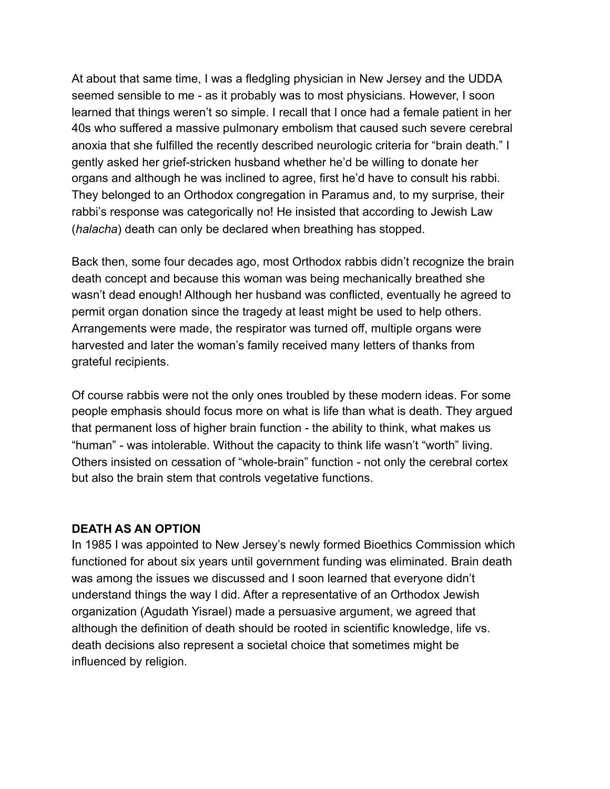At about that same time, I was a fledgling physician in New Jersey and the UDDA seemed sensible to me - as it probably was to most physicians. However, I soon learned that things weren't so simple. I recall that I once had a female patient in her 40s who suffered a massive pulmonary embolism that caused such severe cerebral anoxia that she fulfilled the recently described neurologic criteria for "brain death." I gently asked her grief-stricken husband whether he'd be willing to donate her organs and although he was inclined to agree, first he'd have to consult his rabbi. They belonged to an Orthodox congregation in Paramus and, to my surprise, their rabbi's response was categorically no! He insisted that according to Jewish Law (*halacha*) death can only be declared when breathing has stopped.

Back then, some four decades ago, most Orthodox rabbis didn't recognize the brain death concept and because this woman was being mechanically breathed she wasn't dead enough! Although her husband was conflicted, eventually he agreed to permit organ donation since the tragedy at least might be used to help others. Arrangements were made, the respirator was turned off, multiple organs were harvested and later the woman's family received many letters of thanks from grateful recipients.

Of course rabbis were not the only ones troubled by these modern ideas. For some people emphasis should focus more on what is life than what is death. They argued that permanent loss of higher brain function - the ability to think, what makes us "human" - was intolerable. Without the capacity to think life wasn't "worth" living. Others insisted on cessation of "whole-brain" function - not only the cerebral cortex but also the brain stem that controls vegetative functions.

#### **DEATH AS AN OPTION**

In 1985 I was appointed to New Jersey's newly formed Bioethics Commission which functioned for about six years until government funding was eliminated. Brain death was among the issues we discussed and I soon learned that everyone didn't understand things the way I did. After a representative of an Orthodox Jewish organization (Agudath Yisrael) made a persuasive argument, we agreed that although the definition of death should be rooted in scientific knowledge, life vs. death decisions also represent a societal choice that sometimes might be influenced by religion.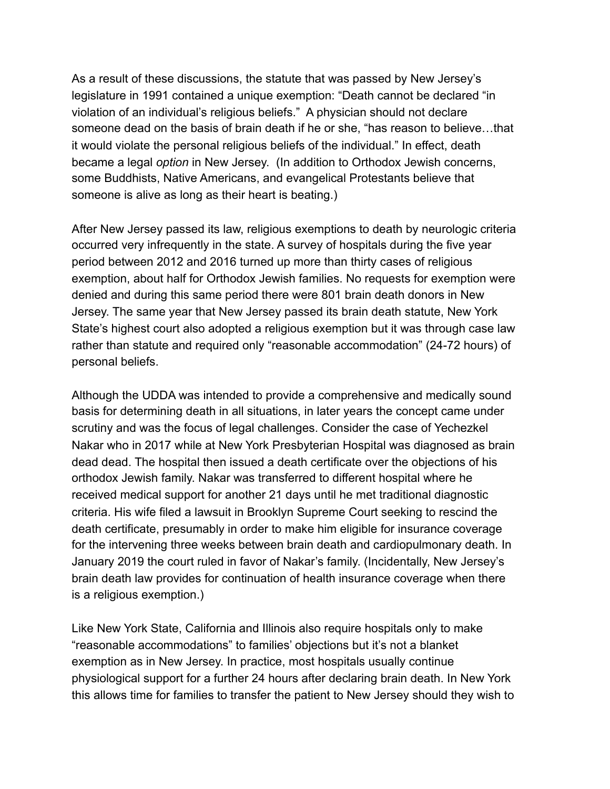As a result of these discussions, the statute that was passed by New Jersey's legislature in 1991 contained a unique exemption: "Death cannot be declared "in violation of an individual's religious beliefs." A physician should not declare someone dead on the basis of brain death if he or she, "has reason to believe…that it would violate the personal religious beliefs of the individual." In effect, death became a legal *option* in New Jersey. (In addition to Orthodox Jewish concerns, some Buddhists, Native Americans, and evangelical Protestants believe that someone is alive as long as their heart is beating.)

After New Jersey passed its law, religious exemptions to death by neurologic criteria occurred very infrequently in the state. A survey of hospitals during the five year period between 2012 and 2016 turned up more than thirty cases of religious exemption, about half for Orthodox Jewish families. No requests for exemption were denied and during this same period there were 801 brain death donors in New Jersey. The same year that New Jersey passed its brain death statute, New York State's highest court also adopted a religious exemption but it was through case law rather than statute and required only "reasonable accommodation" (24-72 hours) of personal beliefs.

Although the UDDA was intended to provide a comprehensive and medically sound basis for determining death in all situations, in later years the concept came under scrutiny and was the focus of legal challenges. Consider the case of Yechezkel Nakar who in 2017 while at New York Presbyterian Hospital was diagnosed as brain dead dead. The hospital then issued a death certificate over the objections of his orthodox Jewish family. Nakar was transferred to different hospital where he received medical support for another 21 days until he met traditional diagnostic criteria. His wife filed a lawsuit in Brooklyn Supreme Court seeking to rescind the death certificate, presumably in order to make him eligible for insurance coverage for the intervening three weeks between brain death and cardiopulmonary death. In January 2019 the court ruled in favor of Nakar's family. (Incidentally, New Jersey's brain death law provides for continuation of health insurance coverage when there is a religious exemption.)

Like New York State, California and Illinois also require hospitals only to make "reasonable accommodations" to families' objections but it's not a blanket exemption as in New Jersey. In practice, most hospitals usually continue physiological support for a further 24 hours after declaring brain death. In New York this allows time for families to transfer the patient to New Jersey should they wish to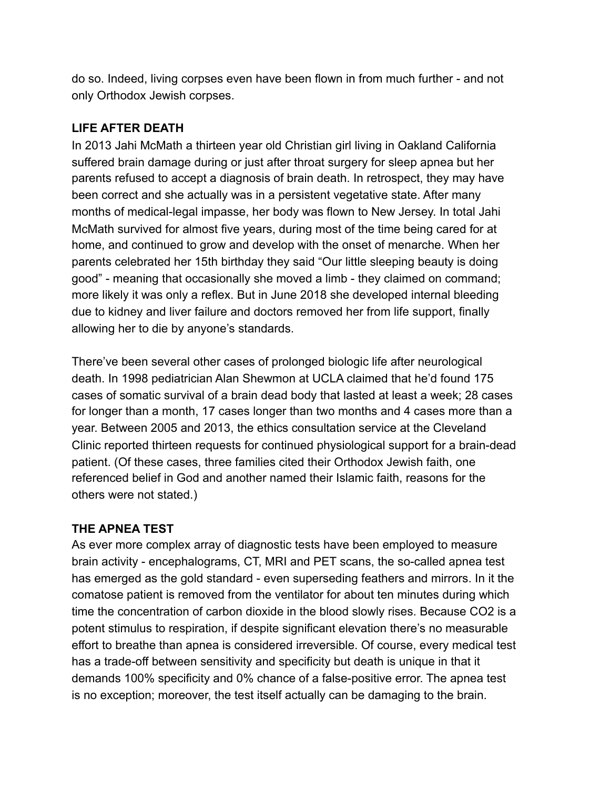do so. Indeed, living corpses even have been flown in from much further - and not only Orthodox Jewish corpses.

# **LIFE AFTER DEATH**

In 2013 Jahi McMath a thirteen year old Christian girl living in Oakland California suffered brain damage during or just after throat surgery for sleep apnea but her parents refused to accept a diagnosis of brain death. In retrospect, they may have been correct and she actually was in a persistent vegetative state. After many months of medical-legal impasse, her body was flown to New Jersey. In total Jahi McMath survived for almost five years, during most of the time being cared for at home, and continued to grow and develop with the onset of menarche. When her parents celebrated her 15th birthday they said "Our little sleeping beauty is doing good" - meaning that occasionally she moved a limb - they claimed on command; more likely it was only a reflex. But in June 2018 she developed internal bleeding due to kidney and liver failure and doctors removed her from life support, finally allowing her to die by anyone's standards.

There've been several other cases of prolonged biologic life after neurological death. In 1998 pediatrician Alan Shewmon at UCLA claimed that he'd found 175 cases of somatic survival of a brain dead body that lasted at least a week; 28 cases for longer than a month, 17 cases longer than two months and 4 cases more than a year. Between 2005 and 2013, the ethics consultation service at the Cleveland Clinic reported thirteen requests for continued physiological support for a brain-dead patient. (Of these cases, three families cited their Orthodox Jewish faith, one referenced belief in God and another named their Islamic faith, reasons for the others were not stated.)

# **THE APNEA TEST**

As ever more complex array of diagnostic tests have been employed to measure brain activity - encephalograms, CT, MRI and PET scans, the so-called apnea test has emerged as the gold standard - even superseding feathers and mirrors. In it the comatose patient is removed from the ventilator for about ten minutes during which time the concentration of carbon dioxide in the blood slowly rises. Because CO2 is a potent stimulus to respiration, if despite significant elevation there's no measurable effort to breathe than apnea is considered irreversible. Of course, every medical test has a trade-off between sensitivity and specificity but death is unique in that it demands 100% specificity and 0% chance of a false-positive error. The apnea test is no exception; moreover, the test itself actually can be damaging to the brain.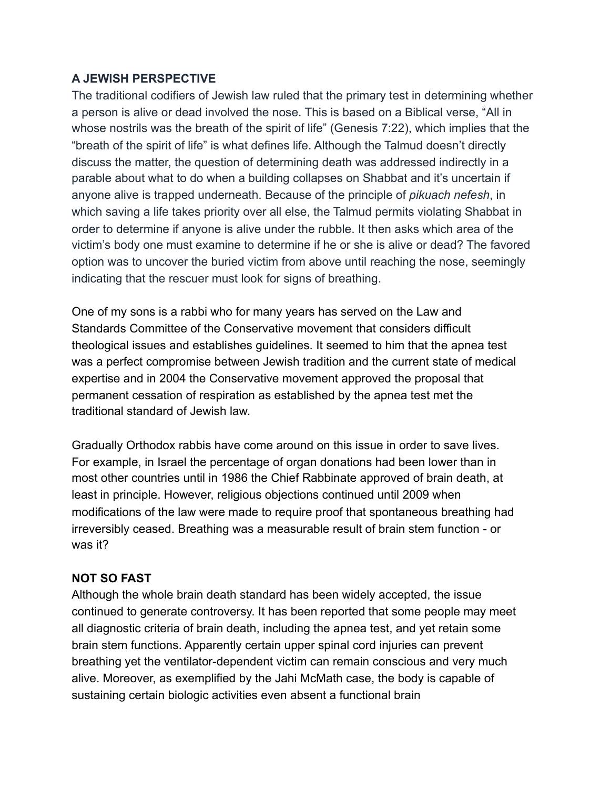## **A JEWISH PERSPECTIVE**

The traditional codifiers of Jewish law ruled that the primary test in determining whether a person is alive or dead involved the nose. This is based on a Biblical verse, "All in whose nostrils was the breath of the spirit of life" [\(Genesis 7:22](https://www.sefaria.org/Genesis.7.22?lang=he-en&utm_source=sef_linker)), which implies that the "breath of the spirit of life" is what defines life. Although the Talmud doesn't directly discuss the matter, the question of determining death was addressed indirectly in a parable about what to do when a building collapses on Shabbat and it's uncertain if anyone alive is trapped underneath. Because of the principle of *[pikuach nefesh](https://www.myjewishlearning.com/article/saving-a-life-pikuach-nefesh/)*, in which saving a life takes priority over all else, the Talmud permits [violating Shabbat](https://www.myjewishlearning.com/article/shabbats-work-prohibition/) in order to determine if anyone is alive under the rubble. It then asks which area of the victim's body one must examine to determine if he or she is alive or dead? The favored option was to uncover the buried victim from above until reaching the nose, seemingly indicating that the rescuer must look for signs of breathing.

One of my sons is a rabbi who for many years has served on the Law and Standards Committee of the Conservative movement that considers difficult theological issues and establishes guidelines. It seemed to him that the apnea test was a perfect compromise between Jewish tradition and the current state of medical expertise and in 2004 the Conservative movement approved the proposal that permanent cessation of respiration as established by the apnea test met the traditional standard of Jewish law.

Gradually Orthodox rabbis have come around on this issue in order to save lives. For example, in Israel the percentage of organ donations had been lower than in most other countries until in 1986 the Chief Rabbinate approved of brain death, at least in principle. However, religious objections continued until 2009 when modifications of the law were made to require proof that spontaneous breathing had irreversibly ceased. Breathing was a measurable result of brain stem function - or was it?

### **NOT SO FAST**

Although the whole brain death standard has been widely accepted, the issue continued to generate controversy. It has been reported that some people may meet all diagnostic criteria of brain death, including the apnea test, and yet retain some brain stem functions. Apparently certain upper spinal cord injuries can prevent breathing yet the ventilator-dependent victim can remain conscious and very much alive. Moreover, as exemplified by the Jahi McMath case, the body is capable of sustaining certain biologic activities even absent a functional brain